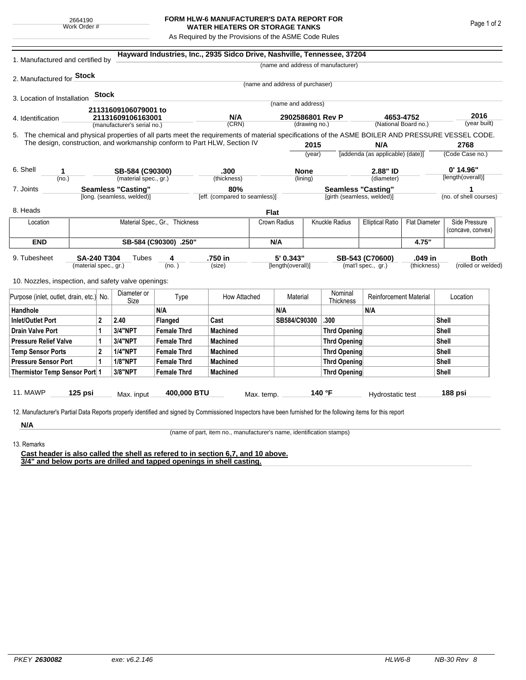## **FORM HLW-6 MANUFACTURER'S DATA REPORT FOR WATER HEATERS OR STORAGE TANKS**

As Required by the Provisions of the ASME Code Rules

| 1. Manufactured and certified by                                                                                                                                                                                                |                       |                           |                             |                                | Hayward Industries, Inc., 2935 Sidco Drive, Nashville, Tennessee, 37204 |                           |                                   |                     |                                    |                                   |                             |                      |                   |  |
|---------------------------------------------------------------------------------------------------------------------------------------------------------------------------------------------------------------------------------|-----------------------|---------------------------|-----------------------------|--------------------------------|-------------------------------------------------------------------------|---------------------------|-----------------------------------|---------------------|------------------------------------|-----------------------------------|-----------------------------|----------------------|-------------------|--|
|                                                                                                                                                                                                                                 |                       |                           |                             |                                |                                                                         |                           |                                   |                     | (name and address of manufacturer) |                                   |                             |                      |                   |  |
| 2. Manufactured for <b>Stock</b>                                                                                                                                                                                                |                       |                           |                             |                                |                                                                         |                           |                                   |                     |                                    |                                   |                             |                      |                   |  |
|                                                                                                                                                                                                                                 |                       |                           |                             |                                |                                                                         |                           | (name and address of purchaser)   |                     |                                    |                                   |                             |                      |                   |  |
| 3. Location of Installation                                                                                                                                                                                                     |                       | Stock                     |                             |                                |                                                                         |                           | (name and address)                |                     |                                    |                                   |                             |                      |                   |  |
|                                                                                                                                                                                                                                 |                       |                           | 21131609106079001 to        |                                |                                                                         |                           |                                   |                     |                                    |                                   |                             |                      |                   |  |
| 4. Identification                                                                                                                                                                                                               |                       |                           | 21131609106163001           |                                | N/A                                                                     |                           | 2902586801 Rev P<br>(drawing no.) |                     |                                    | 4653-4752<br>(National Board no.) |                             | 2016<br>(year built) |                   |  |
|                                                                                                                                                                                                                                 |                       |                           | (manufacturer's serial no.) |                                | (CRN)                                                                   |                           |                                   |                     |                                    |                                   |                             |                      |                   |  |
| 5. The chemical and physical properties of all parts meet the requirements of material specifications of the ASME BOILER AND PRESSURE VESSEL CODE.<br>The design, construction, and workmanship conform to Part HLW, Section IV |                       |                           |                             |                                |                                                                         |                           |                                   |                     |                                    | N/A                               |                             |                      | 2768              |  |
|                                                                                                                                                                                                                                 |                       |                           |                             |                                |                                                                         |                           | 2015<br>(year)                    |                     |                                    | [addenda (as applicable) (date)]  |                             | (Code Case no.)      |                   |  |
|                                                                                                                                                                                                                                 |                       |                           |                             |                                |                                                                         |                           |                                   |                     |                                    |                                   |                             |                      |                   |  |
| 6. Shell<br>1                                                                                                                                                                                                                   |                       |                           | SB-584 (C90300)             |                                | .300                                                                    |                           | <b>None</b>                       |                     |                                    | 2.88" ID                          |                             |                      | $0'$ 14.96"       |  |
| (no.)                                                                                                                                                                                                                           |                       |                           | (material spec., gr.)       |                                |                                                                         | (thickness)               |                                   | (lining)            |                                    | (diameter)                        |                             | [length(overall)]    |                   |  |
| 7. Joints                                                                                                                                                                                                                       |                       |                           | <b>Seamless "Casting"</b>   |                                | 80%<br>[eff. (compared to seamless)]                                    | <b>Seamless "Casting"</b> |                                   |                     |                                    |                                   | 1<br>(no. of shell courses) |                      |                   |  |
|                                                                                                                                                                                                                                 |                       |                           | [long. (seamless, welded)]  |                                |                                                                         |                           |                                   |                     | [girth (seamless, welded)]         |                                   |                             |                      |                   |  |
| 8. Heads                                                                                                                                                                                                                        |                       |                           |                             |                                |                                                                         |                           | <b>Flat</b>                       |                     |                                    |                                   |                             |                      |                   |  |
| Location                                                                                                                                                                                                                        |                       |                           |                             | Material Spec., Gr., Thickness |                                                                         |                           | Crown Radius                      |                     | Knuckle Radius                     | <b>Elliptical Ratio</b>           | <b>Flat Diameter</b>        |                      | Side Pressure     |  |
|                                                                                                                                                                                                                                 |                       |                           |                             |                                |                                                                         |                           |                                   |                     |                                    |                                   |                             |                      | (concave, convex) |  |
| <b>END</b>                                                                                                                                                                                                                      | SB-584 (C90300) .250" |                           |                             |                                |                                                                         |                           | N/A                               |                     |                                    |                                   | 4.75"                       |                      |                   |  |
| 9. Tubesheet<br>SA-240 T304<br>(material spec., gr.)                                                                                                                                                                            |                       |                           | Tubes                       | 4                              | .750 in                                                                 |                           | 5' 0.343"                         |                     | SB-543 (C70600)                    |                                   | .049 in                     |                      | <b>Both</b>       |  |
|                                                                                                                                                                                                                                 |                       |                           | (no. )                      |                                | (size)                                                                  |                           | [length(overall)]                 |                     | (mat'l spec., gr.)                 |                                   | (thickness)                 | (rolled or welded)   |                   |  |
| 10. Nozzles, inspection, and safety valve openings:                                                                                                                                                                             |                       |                           |                             |                                |                                                                         |                           |                                   |                     |                                    |                                   |                             |                      |                   |  |
|                                                                                                                                                                                                                                 |                       |                           |                             |                                |                                                                         |                           |                                   |                     |                                    |                                   |                             |                      |                   |  |
| Purpose (inlet, outlet, drain, etc.) No.                                                                                                                                                                                        |                       |                           | Diameter or<br>Size         | Type                           | How Attached                                                            |                           | Material                          |                     | Nominal<br><b>Thickness</b>        | <b>Reinforcement Material</b>     |                             | Location             |                   |  |
| Handhole                                                                                                                                                                                                                        |                       |                           |                             | N/A                            |                                                                         |                           | N/A                               |                     |                                    | N/A                               |                             |                      |                   |  |
| $\overline{2}$<br><b>Inlet/Outlet Port</b>                                                                                                                                                                                      |                       | 2.40                      | Flanged                     | Cast                           |                                                                         | SB584/C90300              |                                   | .300                |                                    |                                   | <b>Shell</b>                |                      |                   |  |
| <b>Drain Valve Port</b><br>1                                                                                                                                                                                                    |                       | 3/4"NPT                   | <b>Female Thrd</b>          | <b>Machined</b>                |                                                                         |                           |                                   | <b>Thrd Opening</b> |                                    |                                   | <b>Shell</b>                |                      |                   |  |
| <b>Pressure Relief Valve</b><br>1                                                                                                                                                                                               |                       | 3/4"NPT                   | <b>Female Thrd</b>          | <b>Machined</b>                |                                                                         |                           |                                   | Thrd Opening        |                                    |                                   |                             | <b>Shell</b>         |                   |  |
| $\overline{2}$<br><b>Temp Sensor Ports</b>                                                                                                                                                                                      |                       |                           | <b>1/4"NPT</b>              | <b>Female Thrd</b>             | <b>Machined</b>                                                         |                           |                                   |                     | <b>Thrd Opening</b>                |                                   |                             |                      | <b>Shell</b>      |  |
| <b>Pressure Sensor Port</b><br>1                                                                                                                                                                                                |                       | <b>1/8"NPT</b>            | <b>Female Thrd</b>          | <b>Machined</b>                |                                                                         |                           |                                   | <b>Thrd Opening</b> |                                    |                                   |                             | <b>Shell</b>         |                   |  |
| Thermistor Temp Sensor Port 1                                                                                                                                                                                                   |                       |                           | 3/8"NPT                     | <b>Female Thrd</b>             | <b>Machined</b>                                                         |                           |                                   |                     | Thrd Opening                       |                                   | <b>Shell</b>                |                      |                   |  |
|                                                                                                                                                                                                                                 |                       |                           |                             |                                |                                                                         |                           |                                   |                     |                                    |                                   |                             |                      |                   |  |
| 11. MAWP<br>$125$ psi                                                                                                                                                                                                           |                       | 400,000 BTU<br>Max. input |                             | Max. temp.                     |                                                                         | 140 °F                    |                                   |                     | Hydrostatic test                   |                                   | 188 psi                     |                      |                   |  |
|                                                                                                                                                                                                                                 |                       |                           |                             |                                |                                                                         |                           |                                   |                     |                                    |                                   |                             |                      |                   |  |
| 12. Manufacturer's Partial Data Reports properly identified and signed by Commissioned Inspectors have been furnished for the following items for this report                                                                   |                       |                           |                             |                                |                                                                         |                           |                                   |                     |                                    |                                   |                             |                      |                   |  |
| N/A                                                                                                                                                                                                                             |                       |                           |                             |                                |                                                                         |                           |                                   |                     |                                    |                                   |                             |                      |                   |  |

(name of part, item no., manufacturer's name, identification stamps)

13. Remarks

**Cast header is also called the shell as refered to in section 6,7, and 10 above. 3/4" and below ports are drilled and tapped openings in shell casting.**